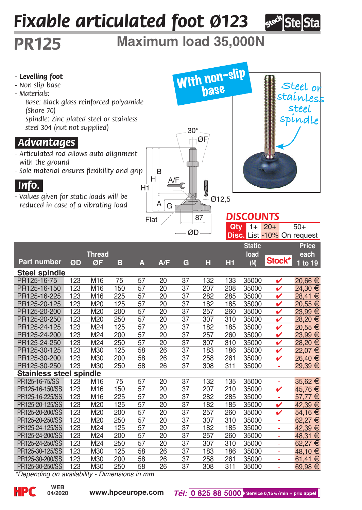## *Fixable articulated foot Ø123*



## *PR125* **Maximum load 35,000N**



*\*Depending on availability - Dimensions in mm*

**04/2020**